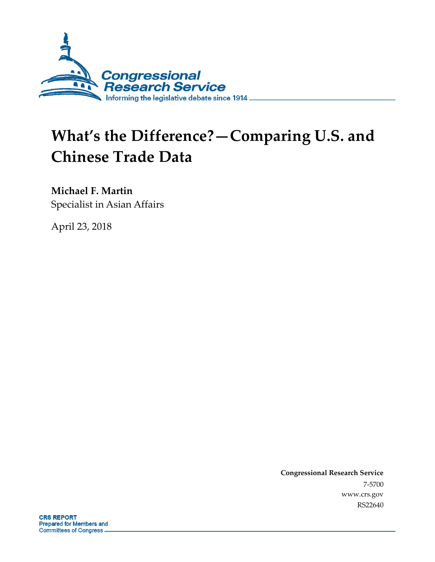

# **What's the Difference?—Comparing U.S. and Chinese Trade Data**

**Michael F. Martin**

Specialist in Asian Affairs

April 23, 2018

**Congressional Research Service** 7-5700 www.crs.gov RS22640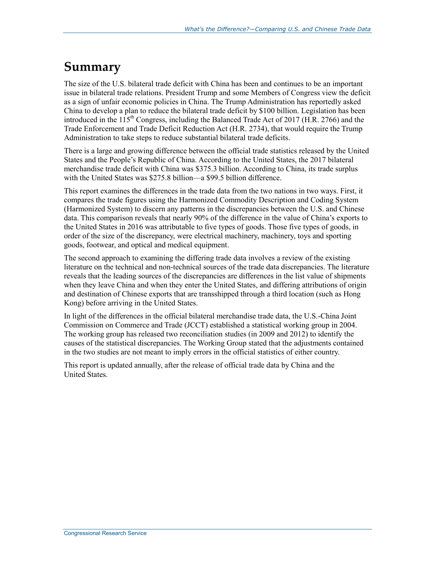### **Summary**

The size of the U.S. bilateral trade deficit with China has been and continues to be an important issue in bilateral trade relations. President Trump and some Members of Congress view the deficit as a sign of unfair economic policies in China. The Trump Administration has reportedly asked China to develop a plan to reduce the bilateral trade deficit by \$100 billion. Legislation has been introduced in the  $115<sup>th</sup>$  Congress, including the Balanced Trade Act of 2017 (H.R. 2766) and the Trade Enforcement and Trade Deficit Reduction Act (H.R. 2734), that would require the Trump Administration to take steps to reduce substantial bilateral trade deficits.

There is a large and growing difference between the official trade statistics released by the United States and the People's Republic of China. According to the United States, the 2017 bilateral merchandise trade deficit with China was \$375.3 billion. According to China, its trade surplus with the United States was \$275.8 billion—a \$99.5 billion difference.

This report examines the differences in the trade data from the two nations in two ways. First, it compares the trade figures using the Harmonized Commodity Description and Coding System (Harmonized System) to discern any patterns in the discrepancies between the U.S. and Chinese data. This comparison reveals that nearly 90% of the difference in the value of China's exports to the United States in 2016 was attributable to five types of goods. Those five types of goods, in order of the size of the discrepancy, were electrical machinery, machinery, toys and sporting goods, footwear, and optical and medical equipment.

The second approach to examining the differing trade data involves a review of the existing literature on the technical and non-technical sources of the trade data discrepancies. The literature reveals that the leading sources of the discrepancies are differences in the list value of shipments when they leave China and when they enter the United States, and differing attributions of origin and destination of Chinese exports that are transshipped through a third location (such as Hong Kong) before arriving in the United States.

In light of the differences in the official bilateral merchandise trade data, the U.S.-China Joint Commission on Commerce and Trade (JCCT) established a statistical working group in 2004. The working group has released two reconciliation studies (in 2009 and 2012) to identify the causes of the statistical discrepancies. The Working Group stated that the adjustments contained in the two studies are not meant to imply errors in the official statistics of either country.

This report is updated annually, after the release of official trade data by China and the United States.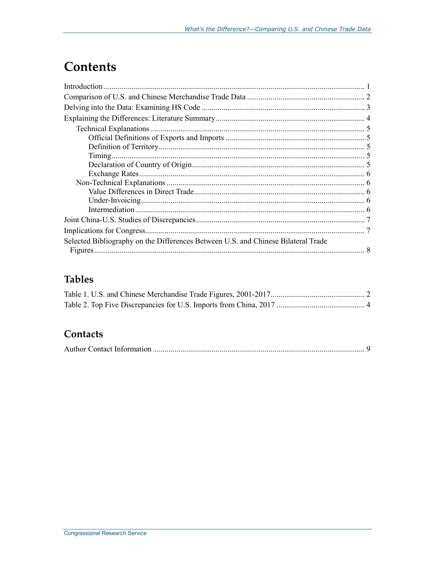### **Contents**

| <b>Technical Explanations</b>                                                     |  |
|-----------------------------------------------------------------------------------|--|
|                                                                                   |  |
|                                                                                   |  |
|                                                                                   |  |
|                                                                                   |  |
|                                                                                   |  |
|                                                                                   |  |
|                                                                                   |  |
|                                                                                   |  |
|                                                                                   |  |
|                                                                                   |  |
|                                                                                   |  |
| Selected Bibliography on the Differences Between U.S. and Chinese Bilateral Trade |  |
|                                                                                   |  |

### **Tables**

### Contacts

|--|--|--|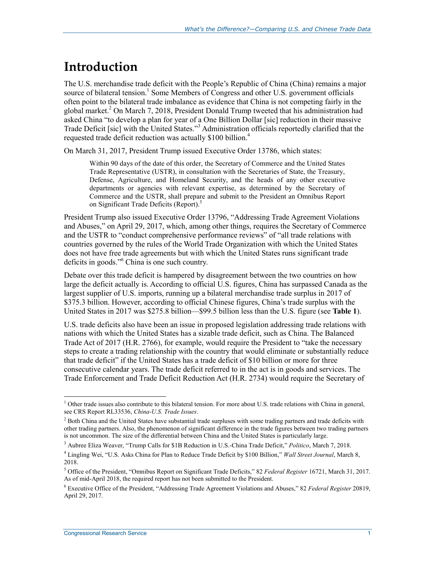### **Introduction**

The U.S. merchandise trade deficit with the People's Republic of China (China) remains a major source of bilateral tension.<sup>1</sup> Some Members of Congress and other U.S. government officials often point to the bilateral trade imbalance as evidence that China is not competing fairly in the global market.<sup>2</sup> On March 7, 2018, President Donald Trump tweeted that his administration had asked China "to develop a plan for year of a One Billion Dollar [sic] reduction in their massive Trade Deficit [sic] with the United States."<sup>3</sup> Administration officials reportedly clarified that the requested trade deficit reduction was actually \$100 billion. 4

On March 31, 2017, President Trump issued Executive Order 13786, which states:

Within 90 days of the date of this order, the Secretary of Commerce and the United States Trade Representative (USTR), in consultation with the Secretaries of State, the Treasury, Defense, Agriculture, and Homeland Security, and the heads of any other executive departments or agencies with relevant expertise, as determined by the Secretary of Commerce and the USTR, shall prepare and submit to the President an Omnibus Report on Significant Trade Deficits (Report).<sup>5</sup>

President Trump also issued Executive Order 13796, "Addressing Trade Agreement Violations and Abuses," on April 29, 2017, which, among other things, requires the Secretary of Commerce and the USTR to "conduct comprehensive performance reviews" of "all trade relations with countries governed by the rules of the World Trade Organization with which the United States does not have free trade agreements but with which the United States runs significant trade deficits in goods."<sup>6</sup> China is one such country.

Debate over this trade deficit is hampered by disagreement between the two countries on how large the deficit actually is. According to official U.S. figures, China has surpassed Canada as the largest supplier of U.S. imports, running up a bilateral merchandise trade surplus in 2017 of \$375.3 billion. However, according to official Chinese figures, China's trade surplus with the United States in 2017 was \$275.8 billion—\$99.5 billion less than the U.S. figure (see **[Table 1](#page-4-0)**).

U.S. trade deficits also have been an issue in proposed legislation addressing trade relations with nations with which the United States has a sizable trade deficit, such as China. The Balanced Trade Act of 2017 (H.R. 2766), for example, would require the President to "take the necessary steps to create a trading relationship with the country that would eliminate or substantially reduce that trade deficit" if the United States has a trade deficit of \$10 billion or more for three consecutive calendar years. The trade deficit referred to in the act is in goods and services. The Trade Enforcement and Trade Deficit Reduction Act (H.R. 2734) would require the Secretary of

<sup>&</sup>lt;sup>1</sup> Other trade issues also contribute to this bilateral tension. For more about U.S. trade relations with China in general, see CRS Report RL33536, *China-U.S. Trade Issues*.

<sup>&</sup>lt;sup>2</sup> Both China and the United States have substantial trade surpluses with some trading partners and trade deficits with other trading partners. Also, the phenomenon of significant difference in the trade figures between two trading partners is not uncommon. The size of the differential between China and the United States is particularly large.

<sup>3</sup> Aubree Eliza Weaver, "Trump Calls for \$1B Reduction in U.S.-China Trade Deficit," *Politico*, March 7, 2018.

<sup>4</sup> Lingling Wei, "U.S. Asks China for Plan to Reduce Trade Deficit by \$100 Billion," *Wall Street Journal*, March 8, 2018.

<sup>5</sup> Office of the President, "Omnibus Report on Significant Trade Deficits," 82 *Federal Register* 16721, March 31, 2017. As of mid-April 2018, the required report has not been submitted to the President.

<sup>6</sup> Executive Office of the President, "Addressing Trade Agreement Violations and Abuses," 82 *Federal Register* 20819, April 29, 2017.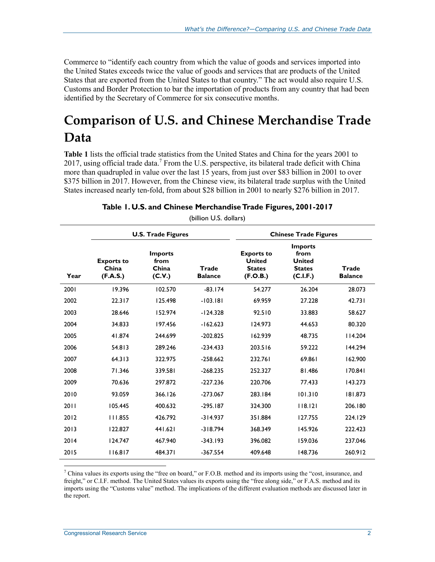Commerce to "identify each country from which the value of goods and services imported into the United States exceeds twice the value of goods and services that are products of the United States that are exported from the United States to that country." The act would also require U.S. Customs and Border Protection to bar the importation of products from any country that had been identified by the Secretary of Commerce for six consecutive months.

## **Comparison of U.S. and Chinese Merchandise Trade Data**

**[Table 1](#page-4-0)** lists the official trade statistics from the United States and China for the years 2001 to 2017, using official trade data.<sup>7</sup> From the U.S. perspective, its bilateral trade deficit with China more than quadrupled in value over the last 15 years, from just over \$83 billion in 2001 to over \$375 billion in 2017. However, from the Chinese view, its bilateral trade surplus with the United States increased nearly ten-fold, from about \$28 billion in 2001 to nearly \$276 billion in 2017.

<span id="page-4-0"></span>

|      | <b>U.S. Trade Figures</b>              |                                           |                         | <b>Chinese Trade Figures</b>                                    |                                                                      |                         |
|------|----------------------------------------|-------------------------------------------|-------------------------|-----------------------------------------------------------------|----------------------------------------------------------------------|-------------------------|
| Year | <b>Exports to</b><br>China<br>(F.A.S.) | <b>Imports</b><br>from<br>China<br>(C.V.) | Trade<br><b>Balance</b> | <b>Exports to</b><br><b>United</b><br><b>States</b><br>(F.O.B.) | <b>Imports</b><br>from<br><b>United</b><br><b>States</b><br>(C.I.F.) | Trade<br><b>Balance</b> |
| 2001 | 19.396                                 | 102.570                                   | $-83.174$               | 54.277                                                          | 26.204                                                               | 28.073                  |
| 2002 | 22.317                                 | 125.498                                   | $-103.181$              | 69.959                                                          | 27.228                                                               | 42.731                  |
| 2003 | 28.646                                 | 152.974                                   | $-124.328$              | 92.510                                                          | 33.883                                                               | 58.627                  |
| 2004 | 34.833                                 | 197.456                                   | $-162.623$              | 124.973                                                         | 44.653                                                               | 80.320                  |
| 2005 | 41.874                                 | 244.699                                   | $-202.825$              | 162.939                                                         | 48.735                                                               | 114.204                 |
| 2006 | 54.813                                 | 289.246                                   | $-234.433$              | 203.516                                                         | 59.222                                                               | 144.294                 |
| 2007 | 64.313                                 | 322.975                                   | $-258.662$              | 232.761                                                         | 69.861                                                               | 162.900                 |
| 2008 | 71.346                                 | 339.581                                   | $-268.235$              | 252.327                                                         | 81.486                                                               | 170.841                 |
| 2009 | 70.636                                 | 297.872                                   | $-227.236$              | 220.706                                                         | 77.433                                                               | 143.273                 |
| 2010 | 93.059                                 | 366.126                                   | $-273.067$              | 283.184                                                         | 101.310                                                              | 181.873                 |
| 2011 | 105.445                                | 400.632                                   | $-295.187$              | 324.300                                                         | 118.121                                                              | 206.180                 |
| 2012 | 111.855                                | 426.792                                   | $-314.937$              | 351.884                                                         | 127.755                                                              | 224.129                 |
| 2013 | 122.827                                | 441.621                                   | $-318.794$              | 368.349                                                         | 145.926                                                              | 222.423                 |
| 2014 | 124.747                                | 467.940                                   | $-343.193$              | 396.082                                                         | 159.036                                                              | 237.046                 |
| 2015 | 116.817                                | 484.371                                   | $-367.554$              | 409.648                                                         | 148.736                                                              | 260.912                 |

**Table 1. U.S. and Chinese Merchandise Trade Figures, 2001-2017**

(billion U.S. dollars)

<sup>7</sup> China values its exports using the "free on board," or F.O.B. method and its imports using the "cost, insurance, and freight," or C.I.F. method. The United States values its exports using the "free along side," or F.A.S. method and its imports using the "Customs value" method. The implications of the different evaluation methods are discussed later in the report.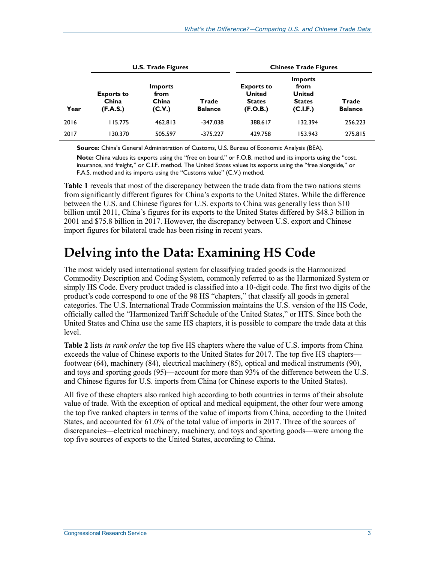|      | <b>U.S. Trade Figures</b>              |                                           |                         | <b>Chinese Trade Figures</b>                                    |                                                                      |                         |
|------|----------------------------------------|-------------------------------------------|-------------------------|-----------------------------------------------------------------|----------------------------------------------------------------------|-------------------------|
| Year | <b>Exports to</b><br>China<br>(F.A.S.) | <b>Imports</b><br>from<br>China<br>(C.V.) | Trade<br><b>Balance</b> | <b>Exports to</b><br><b>United</b><br><b>States</b><br>(F.O.B.) | <b>Imports</b><br>from<br><b>United</b><br><b>States</b><br>(C.I.F.) | Trade<br><b>Balance</b> |
| 2016 | 115.775                                | 462.813                                   | $-347.038$              | 388.617                                                         | 132.394                                                              | 256.223                 |
| 2017 | 130.370                                | 505.597                                   | $-375.227$              | 429.758                                                         | 153.943                                                              | 275.815                 |

**Source:** China's General Administration of Customs, U.S. Bureau of Economic Analysis (BEA).

**Note:** China values its exports using the "free on board," or F.O.B. method and its imports using the "cost, insurance, and freight," or C.I.F. method. The United States values its exports using the "free alongside," or F.A.S. method and its imports using the "Customs value" (C.V.) method.

**[Table 1](#page-4-0)** reveals that most of the discrepancy between the trade data from the two nations stems from significantly different figures for China's exports to the United States. While the difference between the U.S. and Chinese figures for U.S. exports to China was generally less than \$10 billion until 2011, China's figures for its exports to the United States differed by \$48.3 billion in 2001 and \$75.8 billion in 2017. However, the discrepancy between U.S. export and Chinese import figures for bilateral trade has been rising in recent years.

### **Delving into the Data: Examining HS Code**

The most widely used international system for classifying traded goods is the Harmonized Commodity Description and Coding System, commonly referred to as the Harmonized System or simply HS Code. Every product traded is classified into a 10-digit code. The first two digits of the product's code correspond to one of the 98 HS "chapters," that classify all goods in general categories. The U.S. International Trade Commission maintains the U.S. version of the HS Code, officially called the "Harmonized Tariff Schedule of the United States," or HTS. Since both the United States and China use the same HS chapters, it is possible to compare the trade data at this level.

**[Table 2](#page-6-0)** lists *in rank order* the top five HS chapters where the value of U.S. imports from China exceeds the value of Chinese exports to the United States for 2017. The top five HS chapters footwear (64), machinery (84), electrical machinery (85), optical and medical instruments (90), and toys and sporting goods (95)—account for more than 93% of the difference between the U.S. and Chinese figures for U.S. imports from China (or Chinese exports to the United States).

All five of these chapters also ranked high according to both countries in terms of their absolute value of trade. With the exception of optical and medical equipment, the other four were among the top five ranked chapters in terms of the value of imports from China, according to the United States, and accounted for 61.0% of the total value of imports in 2017. Three of the sources of discrepancies—electrical machinery, machinery, and toys and sporting goods—were among the top five sources of exports to the United States, according to China.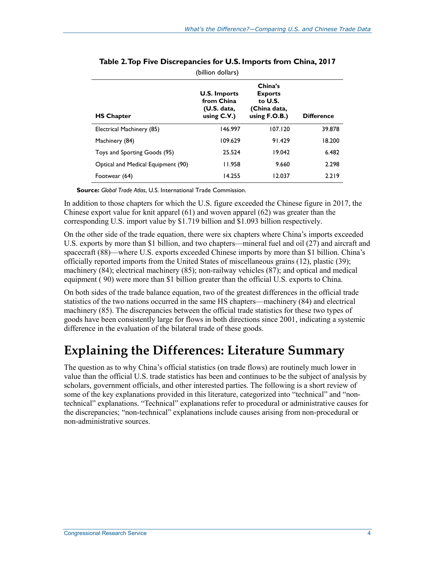<span id="page-6-0"></span>

|                                    | (billion dollars)                                                  |                                                                          |                   |
|------------------------------------|--------------------------------------------------------------------|--------------------------------------------------------------------------|-------------------|
| <b>HS Chapter</b>                  | <b>U.S. Imports</b><br>from China<br>(U.S. data,<br>using $C.V.$ ) | China's<br><b>Exports</b><br>to U.S.<br>(China data,<br>using $F.O.B.$ ) | <b>Difference</b> |
| Electrical Machinery (85)          | 146.997                                                            | 107.120                                                                  | 39.878            |
| Machinery (84)                     | 109.629                                                            | 91.429                                                                   | 18.200            |
| Toys and Sporting Goods (95)       | 25.524                                                             | 19.042                                                                   | 6.482             |
| Optical and Medical Equipment (90) | 11.958                                                             | 9.660                                                                    | 2.298             |
| Footwear (64)                      | 14.255                                                             | 12.037                                                                   | 2.219             |

**Source:** *Global Trade Atlas*, U.S. International Trade Commission.

In addition to those chapters for which the U.S. figure exceeded the Chinese figure in 2017, the Chinese export value for knit apparel (61) and woven apparel (62) was greater than the corresponding U.S. import value by \$1.719 billion and \$1.093 billion respectively.

On the other side of the trade equation, there were six chapters where China's imports exceeded U.S. exports by more than \$1 billion, and two chapters—mineral fuel and oil (27) and aircraft and spacecraft (88)—where U.S. exports exceeded Chinese imports by more than \$1 billion. China's officially reported imports from the United States of miscellaneous grains (12), plastic (39); machinery (84); electrical machinery (85); non-railway vehicles (87); and optical and medical equipment ( 90) were more than \$1 billion greater than the official U.S. exports to China.

On both sides of the trade balance equation, two of the greatest differences in the official trade statistics of the two nations occurred in the same HS chapters—machinery (84) and electrical machinery (85). The discrepancies between the official trade statistics for these two types of goods have been consistently large for flows in both directions since 2001, indicating a systemic difference in the evaluation of the bilateral trade of these goods.

## **Explaining the Differences: Literature Summary**

The question as to why China's official statistics (on trade flows) are routinely much lower in value than the official U.S. trade statistics has been and continues to be the subject of analysis by scholars, government officials, and other interested parties. The following is a short review of some of the key explanations provided in this literature, categorized into "technical" and "nontechnical" explanations. "Technical" explanations refer to procedural or administrative causes for the discrepancies; "non-technical" explanations include causes arising from non-procedural or non-administrative sources.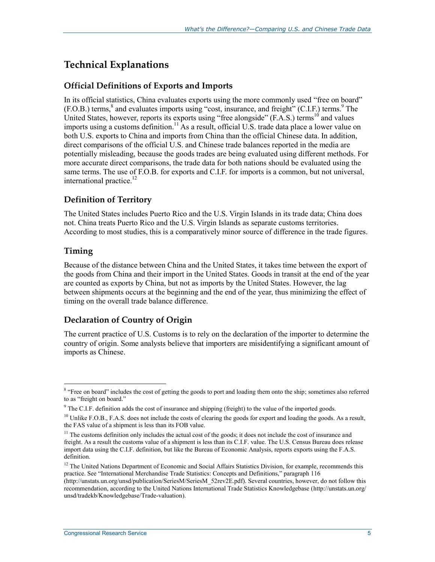### **Technical Explanations**

#### **Official Definitions of Exports and Imports**

In its official statistics, China evaluates exports using the more commonly used "free on board"  $(F.O.B.)$  terms, $^8$  and evaluates imports using "cost, insurance, and freight" (C.I.F.) terms. The United States, however, reports its exports using "free alongside" (F.A.S.) terms<sup>10</sup> and values imports using a customs definition.<sup>11</sup> As a result, official U.S. trade data place a lower value on both U.S. exports to China and imports from China than the official Chinese data. In addition, direct comparisons of the official U.S. and Chinese trade balances reported in the media are potentially misleading, because the goods trades are being evaluated using different methods. For more accurate direct comparisons, the trade data for both nations should be evaluated using the same terms. The use of F.O.B. for exports and C.I.F. for imports is a common, but not universal, international practice.<sup>12</sup>

#### **Definition of Territory**

The United States includes Puerto Rico and the U.S. Virgin Islands in its trade data; China does not. China treats Puerto Rico and the U.S. Virgin Islands as separate customs territories. According to most studies, this is a comparatively minor source of difference in the trade figures.

#### **Timing**

 $\overline{a}$ 

Because of the distance between China and the United States, it takes time between the export of the goods from China and their import in the United States. Goods in transit at the end of the year are counted as exports by China, but not as imports by the United States. However, the lag between shipments occurs at the beginning and the end of the year, thus minimizing the effect of timing on the overall trade balance difference.

#### **Declaration of Country of Origin**

The current practice of U.S. Customs is to rely on the declaration of the importer to determine the country of origin. Some analysts believe that importers are misidentifying a significant amount of imports as Chinese.

<sup>&</sup>lt;sup>8</sup> "Free on board" includes the cost of getting the goods to port and loading them onto the ship; sometimes also referred to as "freight on board."

<sup>&</sup>lt;sup>9</sup> The C.I.F. definition adds the cost of insurance and shipping (freight) to the value of the imported goods.

 $10$  Unlike F.O.B., F.A.S. does not include the costs of clearing the goods for export and loading the goods. As a result, the FAS value of a shipment is less than its FOB value.

<sup>&</sup>lt;sup>11</sup> The customs definition only includes the actual cost of the goods; it does not include the cost of insurance and freight. As a result the customs value of a shipment is less than its C.I.F. value. The U.S. Census Bureau does release import data using the C.I.F. definition, but like the Bureau of Economic Analysis, reports exports using the F.A.S. definition.

 $12$  The United Nations Department of Economic and Social Affairs Statistics Division, for example, recommends this practice. See "International Merchandise Trade Statistics: Concepts and Definitions," paragraph 116

<sup>(</sup>http://unstats.un.org/unsd/publication/SeriesM/SeriesM\_52rev2E.pdf). Several countries, however, do not follow this recommendation, according to the United Nations International Trade Statistics Knowledgebase (http://unstats.un.org/ unsd/tradekb/Knowledgebase/Trade-valuation).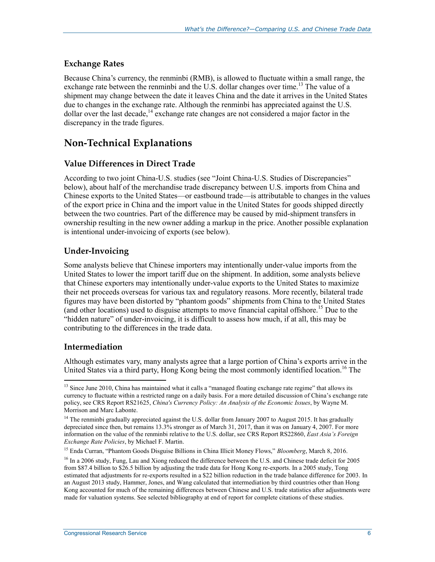#### **Exchange Rates**

Because China's currency, the renminbi (RMB), is allowed to fluctuate within a small range, the exchange rate between the renminbi and the U.S. dollar changes over time.<sup>13</sup> The value of a shipment may change between the date it leaves China and the date it arrives in the United States due to changes in the exchange rate. Although the renminbi has appreciated against the U.S. dollar over the last decade,<sup>14</sup> exchange rate changes are not considered a major factor in the discrepancy in the trade figures.

#### **Non-Technical Explanations**

#### **Value Differences in Direct Trade**

According to two joint China-U.S. studies (see "Joint China-[U.S. Studies of Discrepancies"](#page-9-0) below), about half of the merchandise trade discrepancy between U.S. imports from China and Chinese exports to the United States—or eastbound trade—is attributable to changes in the values of the export price in China and the import value in the United States for goods shipped directly between the two countries. Part of the difference may be caused by mid-shipment transfers in ownership resulting in the new owner adding a markup in the price. Another possible explanation is intentional under-invoicing of exports (see below).

#### **Under-Invoicing**

Some analysts believe that Chinese importers may intentionally under-value imports from the United States to lower the import tariff due on the shipment. In addition, some analysts believe that Chinese exporters may intentionally under-value exports to the United States to maximize their net proceeds overseas for various tax and regulatory reasons. More recently, bilateral trade figures may have been distorted by "phantom goods" shipments from China to the United States (and other locations) used to disguise attempts to move financial capital offshore.<sup>15</sup> Due to the "hidden nature" of under-invoicing, it is difficult to assess how much, if at all, this may be contributing to the differences in the trade data.

#### **Intermediation**

 $\overline{a}$ 

Although estimates vary, many analysts agree that a large portion of China's exports arrive in the United States via a third party. Hong Kong being the most commonly identified location.<sup>16</sup> The

<sup>&</sup>lt;sup>13</sup> Since June 2010, China has maintained what it calls a "managed floating exchange rate regime" that allows its currency to fluctuate within a restricted range on a daily basis. For a more detailed discussion of China's exchange rate policy, see CRS Report RS21625, *China's Currency Policy: An Analysis of the Economic Issues*, by Wayne M. Morrison and Marc Labonte.

<sup>&</sup>lt;sup>14</sup> The renminbi gradually appreciated against the U.S. dollar from January 2007 to August 2015. It has gradually depreciated since then, but remains 13.3% stronger as of March 31, 2017, than it was on January 4, 2007. For more information on the value of the renminbi relative to the U.S. dollar, see CRS Report RS22860, *East Asia's Foreign Exchange Rate Policies*, by Michael F. Martin.

<sup>15</sup> Enda Curran, "Phantom Goods Disguise Billions in China Illicit Money Flows," *Bloomberg*, March 8, 2016.

<sup>&</sup>lt;sup>16</sup> In a 2006 study, Fung, Lau and Xiong reduced the difference between the U.S. and Chinese trade deficit for 2005 from \$87.4 billion to \$26.5 billion by adjusting the trade data for Hong Kong re-exports. In a 2005 study, Tong estimated that adjustments for re-exports resulted in a \$22 billion reduction in the trade balance difference for 2003. In an August 2013 study, Hammer, Jones, and Wang calculated that intermediation by third countries other than Hong Kong accounted for much of the remaining differences between Chinese and U.S. trade statistics after adjustments were made for valuation systems. See selected bibliography at end of report for complete citations of these studies.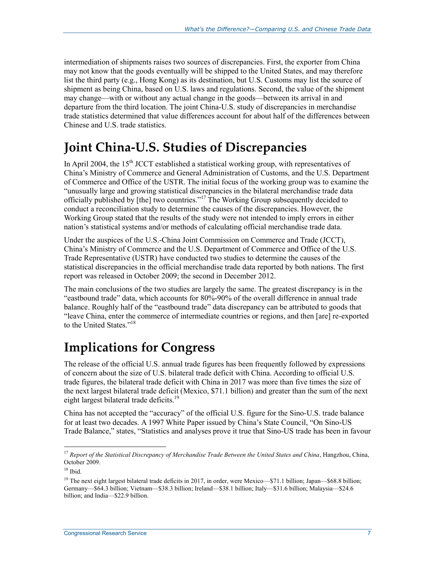intermediation of shipments raises two sources of discrepancies. First, the exporter from China may not know that the goods eventually will be shipped to the United States, and may therefore list the third party (e.g., Hong Kong) as its destination, but U.S. Customs may list the source of shipment as being China, based on U.S. laws and regulations. Second, the value of the shipment may change—with or without any actual change in the goods—between its arrival in and departure from the third location. The joint China-U.S. study of discrepancies in merchandise trade statistics determined that value differences account for about half of the differences between Chinese and U.S. trade statistics.

### <span id="page-9-0"></span>**Joint China-U.S. Studies of Discrepancies**

In April 2004, the  $15<sup>th</sup>$  JCCT established a statistical working group, with representatives of China's Ministry of Commerce and General Administration of Customs, and the U.S. Department of Commerce and Office of the USTR. The initial focus of the working group was to examine the "unusually large and growing statistical discrepancies in the bilateral merchandise trade data officially published by [the] two countries."<sup>17</sup> The Working Group subsequently decided to conduct a reconciliation study to determine the causes of the discrepancies. However, the Working Group stated that the results of the study were not intended to imply errors in either nation's statistical systems and/or methods of calculating official merchandise trade data.

Under the auspices of the U.S.-China Joint Commission on Commerce and Trade (JCCT), China's Ministry of Commerce and the U.S. Department of Commerce and Office of the U.S. Trade Representative (USTR) have conducted two studies to determine the causes of the statistical discrepancies in the official merchandise trade data reported by both nations. The first report was released in October 2009; the second in December 2012.

The main conclusions of the two studies are largely the same. The greatest discrepancy is in the "eastbound trade" data, which accounts for 80%-90% of the overall difference in annual trade balance. Roughly half of the "eastbound trade" data discrepancy can be attributed to goods that "leave China, enter the commerce of intermediate countries or regions, and then [are] re-exported to the United States."<sup>18</sup>

## **Implications for Congress**

The release of the official U.S. annual trade figures has been frequently followed by expressions of concern about the size of U.S. bilateral trade deficit with China. According to official U.S. trade figures, the bilateral trade deficit with China in 2017 was more than five times the size of the next largest bilateral trade deficit (Mexico, \$71.1 billion) and greater than the sum of the next eight largest bilateral trade deficits.<sup>19</sup>

China has not accepted the "accuracy" of the official U.S. figure for the Sino-U.S. trade balance for at least two decades. A 1997 White Paper issued by China's State Council, "On Sino-US Trade Balance," states, "Statistics and analyses prove it true that Sino-US trade has been in favour

<sup>17</sup> *Report of the Statistical Discrepancy of Merchandise Trade Between the United States and China*, Hangzhou, China, October 2009.

<sup>18</sup> Ibid.

<sup>&</sup>lt;sup>19</sup> The next eight largest bilateral trade deficits in 2017, in order, were Mexico—\$71.1 billion; Japan—\$68.8 billion; Germany—\$64.3 billion; Vietnam—\$38.3 billion; Ireland—\$38.1 billion; Italy—\$31.6 billion; Malaysia—\$24.6 billion; and India—\$22.9 billion.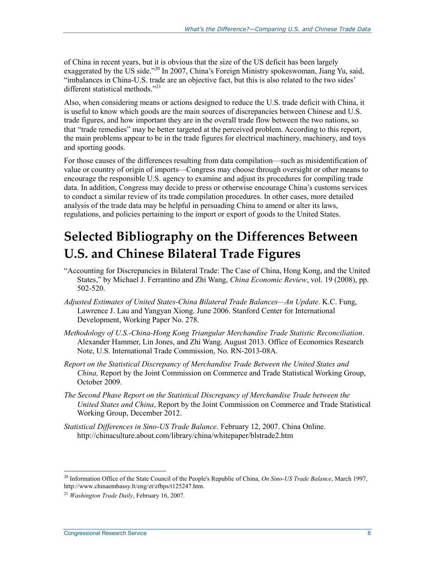of China in recent years, but it is obvious that the size of the US deficit has been largely exaggerated by the US side."<sup>20</sup> In 2007, China's Foreign Ministry spokeswoman, Jiang Yu, said, "imbalances in China-U.S. trade are an objective fact, but this is also related to the two sides' different statistical methods."<sup>21</sup>

Also, when considering means or actions designed to reduce the U.S. trade deficit with China, it is useful to know which goods are the main sources of discrepancies between Chinese and U.S. trade figures, and how important they are in the overall trade flow between the two nations, so that "trade remedies" may be better targeted at the perceived problem. According to this report, the main problems appear to be in the trade figures for electrical machinery, machinery, and toys and sporting goods.

For those causes of the differences resulting from data compilation—such as misidentification of value or country of origin of imports—Congress may choose through oversight or other means to encourage the responsible U.S. agency to examine and adjust its procedures for compiling trade data. In addition, Congress may decide to press or otherwise encourage China's customs services to conduct a similar review of its trade compilation procedures. In other cases, more detailed analysis of the trade data may be helpful in persuading China to amend or alter its laws, regulations, and policies pertaining to the import or export of goods to the United States.

## **Selected Bibliography on the Differences Between U.S. and Chinese Bilateral Trade Figures**

- "Accounting for Discrepancies in Bilateral Trade: The Case of China, Hong Kong, and the United States," by Michael J. Ferrantino and Zhi Wang, *China Economic Review*, vol. 19 (2008), pp. 502-520.
- *Adjusted Estimates of United States-China Bilateral Trade Balances—An Update*. K.C. Fung, Lawrence J. Lau and Yangyan Xiong. June 2006. Stanford Center for International Development, Working Paper No. 278.
- *Methodology of U.S.-China-Hong Kong Triangular Merchandise Trade Statistic Reconciliation*. Alexander Hammer, Lin Jones, and Zhi Wang. August 2013. Office of Economics Research Note, U.S. International Trade Commission, No. RN-2013-08A.
- *Report on the Statistical Discrepancy of Merchandise Trade Between the United States and China,* Report by the Joint Commission on Commerce and Trade Statistical Working Group, October 2009.
- *The Second Phase Report on the Statistical Discrepancy of Merchandise Trade between the United States and China*, Report by the Joint Commission on Commerce and Trade Statistical Working Group, December 2012.
- *Statistical Differences in Sino-US Trade Balance*. February 12, 2007. China Online. http://chinaculture.about.com/library/china/whitepaper/blstrade2.htm

<sup>20</sup> Information Office of the State Council of the People's Republic of China, *On Sino-US Trade Balance*, March 1997, http://www.chinaembassy.lt/eng/zt/zfbps/t125247.htm.

<sup>21</sup> *Washington Trade Daily*, February 16, 2007.